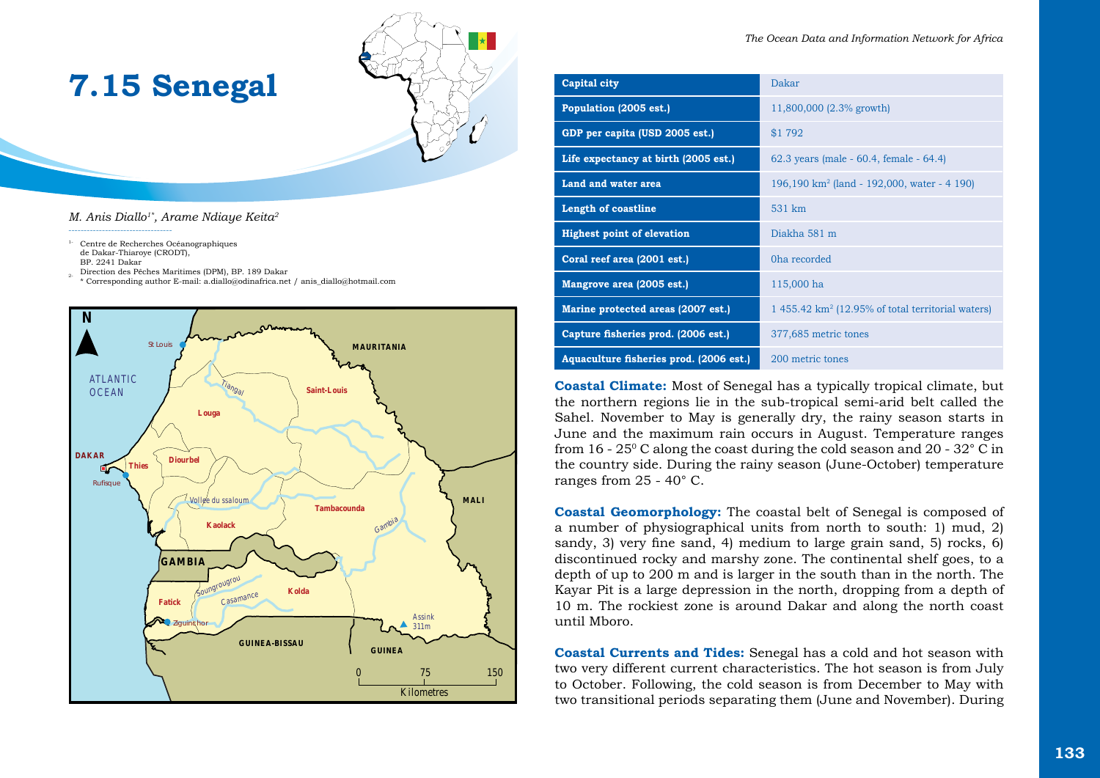

*M. Anis Diallo1\*, Arame Ndiaye Keita2*

**7.15 Senegal**

1- Centre de Recherches Océanographiques de Dakar-Thiaroye (CRODT), BP. 2241 Dakar

----------------------------------

- 2- Direction des Pêches Maritimes (DPM), BP. 189 Dakar
- \* Corresponding author E-mail: a.diallo@odinafrica.net / anis\_diallo@hotmail.com



| Capital city                            | Dakar                                                        |
|-----------------------------------------|--------------------------------------------------------------|
| Population (2005 est.)                  | 11,800,000 (2.3% growth)                                     |
| GDP per capita (USD 2005 est.)          | \$1 792                                                      |
| Life expectancy at birth (2005 est.)    | 62.3 years (male - $60.4$ , female - $64.4$ )                |
| Land and water area                     | 196,190 km <sup>2</sup> (land - 192,000, water - 4 190)      |
| Length of coastline                     | 531 km                                                       |
| <b>Highest point of elevation</b>       | Diakha 581 m                                                 |
| Coral reef area (2001 est.)             | Oha recorded                                                 |
| Mangrove area (2005 est.)               | 115,000 ha                                                   |
| Marine protected areas (2007 est.)      | $1.455.42 \text{ km}^2$ (12.95% of total territorial waters) |
| Capture fisheries prod. (2006 est.)     | 377,685 metric tones                                         |
| Aquaculture fisheries prod. (2006 est.) | 200 metric tones                                             |

**Coastal Climate:** Most of Senegal has a typically tropical climate, but the northern regions lie in the sub-tropical semi-arid belt called the Sahel. November to May is generally dry, the rainy season starts in June and the maximum rain occurs in August. Temperature ranges from 16 - 25 $\degree$ C along the coast during the cold season and 20 - 32 $\degree$ C in the country side. During the rainy season (June-October) temperature ranges from 25 - 40° C.

**Coastal Geomorphology:** The coastal belt of Senegal is composed of a number of physiographical units from north to south: 1) mud, 2) sandy, 3) very fine sand, 4) medium to large grain sand, 5) rocks, 6) discontinued rocky and marshy zone. The continental shelf goes, to a depth of up to 200 m and is larger in the south than in the north. The Kayar Pit is a large depression in the north, dropping from a depth of 10 m. The rockiest zone is around Dakar and along the north coast until Mboro.

**Coastal Currents and Tides:** Senegal has a cold and hot season with two very different current characteristics. The hot season is from July to October. Following, the cold season is from December to May with two transitional periods separating them (June and November). During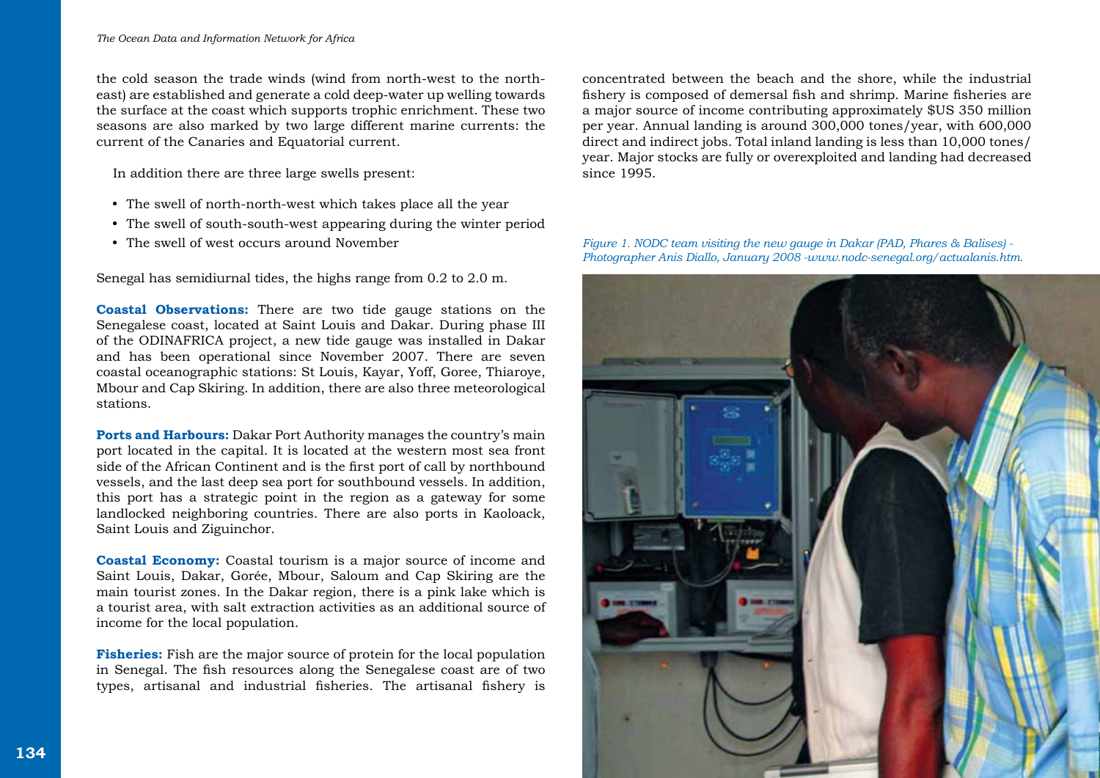the cold season the trade winds (wind from north-west to the northeast) are established and generate a cold deep-water up welling towards the surface at the coast which supports trophic enrichment. These two seasons are also marked by two large different marine currents: the current of the Canaries and Equatorial current.

In addition there are three large swells present:

- The swell of north-north-west which takes place all the year
- The swell of south-south-west appearing during the winter period
- The swell of west occurs around November

Senegal has semidiurnal tides, the highs range from 0.2 to 2.0 m.

**Coastal Observations:** There are two tide gauge stations on the Senegalese coast, located at Saint Louis and Dakar. During phase III of the ODINAFRICA project, a new tide gauge was installed in Dakar and has been operational since November 2007. There are seven coastal oceanographic stations: St Louis, Kayar, Yoff, Goree, Thiaroye, Mbour and Cap Skiring. In addition, there are also three meteorological stations.

**Ports and Harbours:** Dakar Port Authority manages the country's main port located in the capital. It is located at the western most sea front side of the African Continent and is the first port of call by northbound vessels, and the last deep sea port for southbound vessels. In addition, this port has a strategic point in the region as a gateway for some landlocked neighboring countries. There are also ports in Kaoloack, Saint Louis and Ziguinchor.

**Coastal Economy:** Coastal tourism is a major source of income and Saint Louis, Dakar, Gorée, Mbour, Saloum and Cap Skiring are the main tourist zones. In the Dakar region, there is a pink lake which is a tourist area, with salt extraction activities as an additional source of income for the local population.

**Fisheries:** Fish are the major source of protein for the local population in Senegal. The fish resources along the Senegalese coast are of two types, artisanal and industrial fisheries. The artisanal fishery is

concentrated between the beach and the shore, while the industrial fishery is composed of demersal fish and shrimp. Marine fisheries are a major source of income contributing approximately \$US 350 million per year. Annual landing is around 300,000 tones/year, with 600,000 direct and indirect jobs. Total inland landing is less than 10,000 tones/ year. Major stocks are fully or overexploited and landing had decreased since 1995.

*Figure 1. NODC team visiting the new gauge in Dakar (PAD, Phares & Balises) - Photographer Anis Diallo, January 2008 -www.nodc-senegal.org/actualanis.htm.*

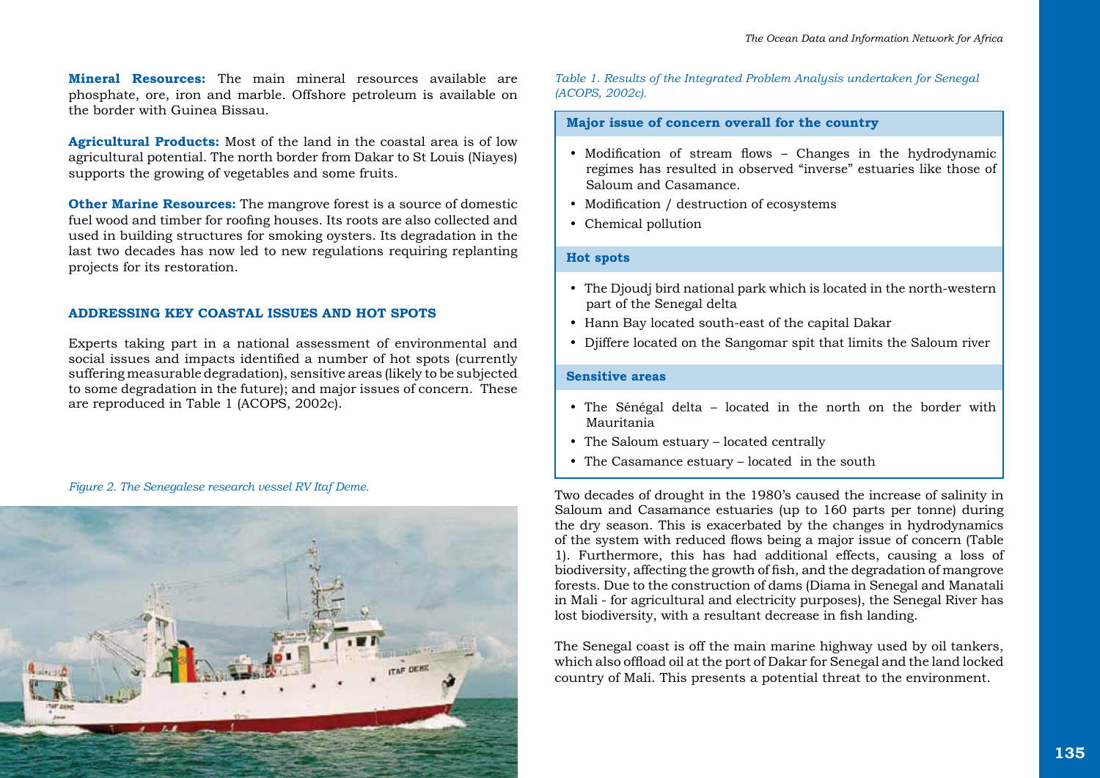**Mineral Resources:** The main mineral resources available are phosphate, ore, iron and marble. Offshore petroleum is available on the border with Guinea Bissau.

**Agricultural Products:** Most of the land in the coastal area is of low agricultural potential. The north border from Dakar to St Louis (Niayes) supports the growing of vegetables and some fruits.

**Other Marine Resources:** The mangrove forest is a source of domestic fuel wood and timber for roofing houses. Its roots are also collected and used in building structures for smoking oysters. Its degradation in the last two decades has now led to new regulations requiring replanting projects for its restoration.

# **ADDRESSING KEY COASTAL ISSUES AND HOT SPOTS**

Experts taking part in a national assessment of environmental and social issues and impacts identified a number of hot spots (currently suffering measurable degradation), sensitive areas (likely to be subjected to some degradation in the future); and major issues of concern. These are reproduced in Table 1 (ACOPS, 2002c).

#### *Figure 2. The Senegalese research vessel RV Itaf Deme.*



*Table 1. Results of the Integrated Problem Analysis undertaken for Senegal (ACOPS, 2002c).* 

# **Major issue of concern overall for the country**

- Modification of stream flows Changes in the hydrodynamic regimes has resulted in observed "inverse" estuaries like those of Saloum and Casamance.
- Modification / destruction of ecosystems
- Chemical pollution

## **Hot spots**

- The Djoudj bird national park which is located in the north-western part of the Senegal delta
- Hann Bay located south-east of the capital Dakar
- Diiffere located on the Sangomar spit that limits the Saloum river

# **Sensitive areas**

- The Sénégal delta located in the north on the border with Mauritania
- The Saloum estuary located centrally
- The Casamance estuary located in the south

Two decades of drought in the 1980's caused the increase of salinity in Saloum and Casamance estuaries (up to 160 parts per tonne) during the dry season. This is exacerbated by the changes in hydrodynamics of the system with reduced flows being a major issue of concern (Table 1). Furthermore, this has had additional effects, causing a loss of biodiversity, affecting the growth of fish, and the degradation of mangrove forests. Due to the construction of dams (Diama in Senegal and Manatali in Mali - for agricultural and electricity purposes), the Senegal River has lost biodiversity, with a resultant decrease in fish landing.

The Senegal coast is off the main marine highway used by oil tankers, which also offload oil at the port of Dakar for Senegal and the land locked country of Mali. This presents a potential threat to the environment.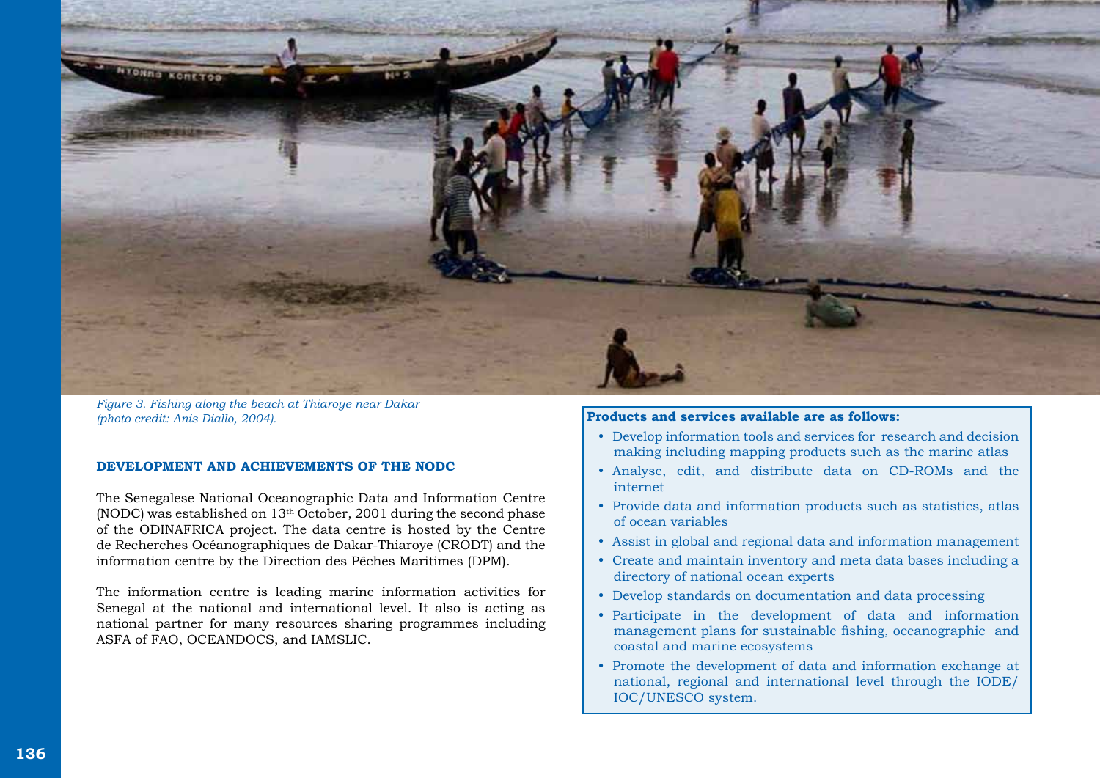

*Figure 3. Fishing along the beach at Thiaroye near Dakar (photo credit: Anis Diallo, 2004).*

# **DEVELOPMENT AND ACHIEVEMENTS OF THE NODC**

The Senegalese National Oceanographic Data and Information Centre (NODC) was established on  $13<sup>th</sup>$  October, 2001 during the second phase of the ODINAFRICA project. The data centre is hosted by the Centre de Recherches Océanographiques de Dakar-Thiaroye (CRODT) and the information centre by the Direction des Pêches Maritimes (DPM).

The information centre is leading marine information activities for Senegal at the national and international level. It also is acting as national partner for many resources sharing programmes including ASFA of FAO, OCEANDOCS, and IAMSLIC.

## **Products and services available are as follows:**

- Develop information tools and services for research and decision making including mapping products such as the marine atlas
- y Analyse, edit, and distribute data on CD-ROMs and the internet
- Provide data and information products such as statistics, atlas of ocean variables
- Assist in global and regional data and information management
- y Create and maintain inventory and meta data bases including a directory of national ocean experts
- Develop standards on documentation and data processing
- y Participate in the development of data and information management plans for sustainable fishing, oceanographic and coastal and marine ecosystems
- Promote the development of data and information exchange at national, regional and international level through the IODE/ IOC/UNESCO system.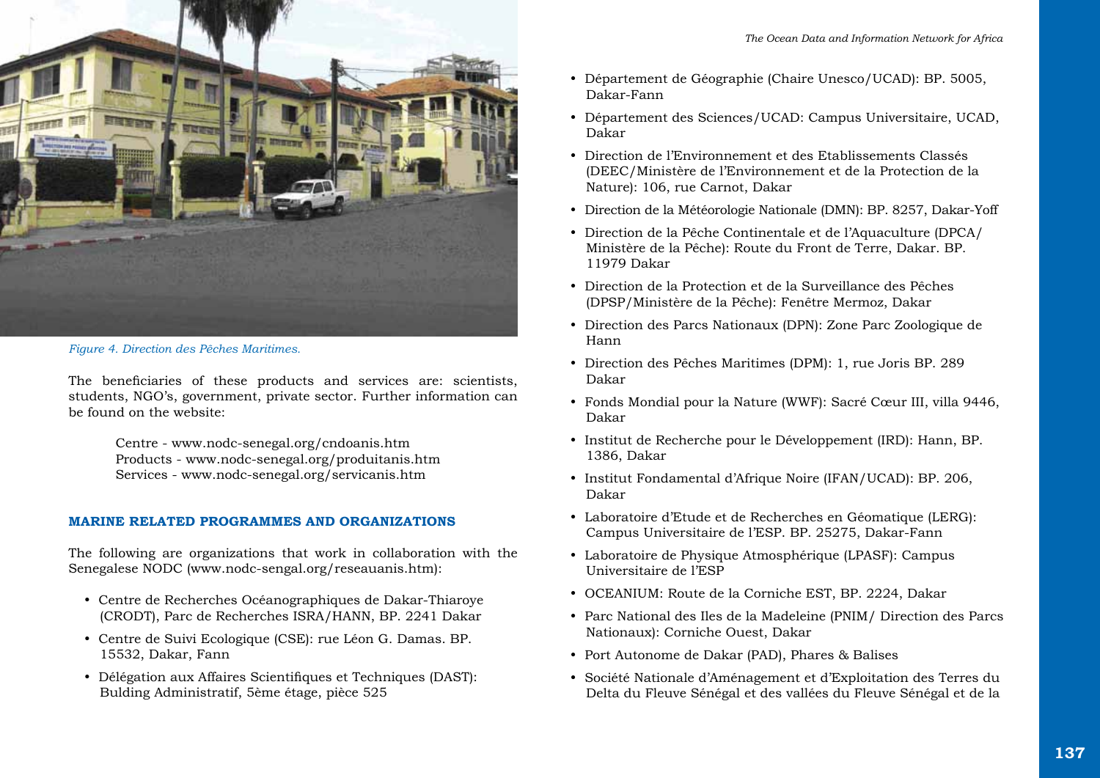

*Figure 4. Direction des Pêches Maritimes.* 

The beneficiaries of these products and services are: scientists, students, NGO's, government, private sector. Further information can be found on the website:

> Centre - www.nodc-senegal.org/cndoanis.htm Products - www.nodc-senegal.org/produitanis.htm Services - www.nodc-senegal.org/servicanis.htm

## **MARINE RELATED PROGRAMMES AND ORGANIZATIONS**

The following are organizations that work in collaboration with the Senegalese NODC (www.nodc-sengal.org/reseauanis.htm):

- y Centre de Recherches Océanographiques de Dakar-Thiaroye (CRODT), Parc de Recherches ISRA/HANN, BP. 2241 Dakar
- y Centre de Suivi Ecologique (CSE): rue Léon G. Damas. BP. 15532, Dakar, Fann
- y Délégation aux Affaires Scientifiques et Techniques (DAST): Bulding Administratif, 5ème étage, pièce 525
- y Département de Géographie (Chaire Unesco/UCAD): BP. 5005, Dakar-Fann
- Département des Sciences/UCAD: Campus Universitaire, UCAD, Dakar
- y Direction de l'Environnement et des Etablissements Classés (DEEC/Ministère de l'Environnement et de la Protection de la Nature): 106, rue Carnot, Dakar
- Direction de la Météorologie Nationale (DMN): BP. 8257, Dakar-Yoff
- y Direction de la Pêche Continentale et de l'Aquaculture (DPCA/ Ministère de la Pêche): Route du Front de Terre, Dakar. BP. 11979 Dakar
- y Direction de la Protection et de la Surveillance des Pêches (DPSP/Ministère de la Pêche): Fenêtre Mermoz, Dakar
- y Direction des Parcs Nationaux (DPN): Zone Parc Zoologique de Hann
- Direction des Pêches Maritimes (DPM): 1, rue Joris BP. 289 Dakar
- y Fonds Mondial pour la Nature (WWF): Sacré Cœur III, villa 9446, Dakar
- y Institut de Recherche pour le Développement (IRD): Hann, BP. 1386, Dakar
- y Institut Fondamental d'Afrique Noire (IFAN/UCAD): BP. 206, Dakar
- Laboratoire d'Etude et de Recherches en Géomatique (LERG): Campus Universitaire de l'ESP. BP. 25275, Dakar-Fann
- Laboratoire de Physique Atmosphérique (LPASF): Campus Universitaire de l'ESP
- y OCEANIUM: Route de la Corniche EST, BP. 2224, Dakar
- Parc National des Iles de la Madeleine (PNIM / Direction des Parcs Nationaux): Corniche Ouest, Dakar
- Port Autonome de Dakar (PAD), Phares & Balises
- y Société Nationale d'Aménagement et d'Exploitation des Terres du Delta du Fleuve Sénégal et des vallées du Fleuve Sénégal et de la